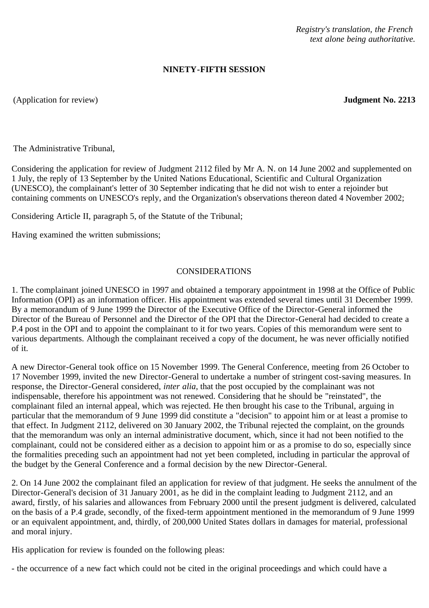*Registry's translation, the French text alone being authoritative.*

## **NINETY-FIFTH SESSION**

(Application for review) **Judgment No. 2213**

The Administrative Tribunal,

Considering the application for review of Judgment 2112 filed by Mr A. N. on 14 June 2002 and supplemented on 1 July, the reply of 13 September by the United Nations Educational, Scientific and Cultural Organization (UNESCO), the complainant's letter of 30 September indicating that he did not wish to enter a rejoinder but containing comments on UNESCO's reply, and the Organization's observations thereon dated 4 November 2002;

Considering Article II, paragraph 5, of the Statute of the Tribunal;

Having examined the written submissions;

## CONSIDERATIONS

1. The complainant joined UNESCO in 1997 and obtained a temporary appointment in 1998 at the Office of Public Information (OPI) as an information officer. His appointment was extended several times until 31 December 1999. By a memorandum of 9 June 1999 the Director of the Executive Office of the Director-General informed the Director of the Bureau of Personnel and the Director of the OPI that the Director-General had decided to create a P.4 post in the OPI and to appoint the complainant to it for two years. Copies of this memorandum were sent to various departments. Although the complainant received a copy of the document, he was never officially notified of it.

A new Director-General took office on 15 November 1999. The General Conference, meeting from 26 October to 17 November 1999, invited the new Director-General to undertake a number of stringent cost-saving measures. In response, the Director-General considered, *inter alia*, that the post occupied by the complainant was not indispensable, therefore his appointment was not renewed. Considering that he should be "reinstated", the complainant filed an internal appeal, which was rejected. He then brought his case to the Tribunal, arguing in particular that the memorandum of 9 June 1999 did constitute a "decision" to appoint him or at least a promise to that effect. In Judgment 2112, delivered on 30 January 2002, the Tribunal rejected the complaint, on the grounds that the memorandum was only an internal administrative document, which, since it had not been notified to the complainant, could not be considered either as a decision to appoint him or as a promise to do so, especially since the formalities preceding such an appointment had not yet been completed, including in particular the approval of the budget by the General Conference and a formal decision by the new Director-General.

2. On 14 June 2002 the complainant filed an application for review of that judgment. He seeks the annulment of the Director-General's decision of 31 January 2001, as he did in the complaint leading to Judgment 2112, and an award, firstly, of his salaries and allowances from February 2000 until the present judgment is delivered, calculated on the basis of a P.4 grade, secondly, of the fixed-term appointment mentioned in the memorandum of 9 June 1999 or an equivalent appointment, and, thirdly, of 200,000 United States dollars in damages for material, professional and moral injury.

His application for review is founded on the following pleas:

- the occurrence of a new fact which could not be cited in the original proceedings and which could have a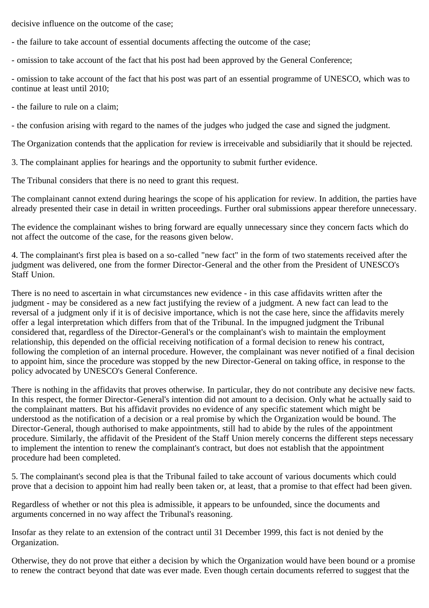decisive influence on the outcome of the case;

- the failure to take account of essential documents affecting the outcome of the case;

- omission to take account of the fact that his post had been approved by the General Conference;

- omission to take account of the fact that his post was part of an essential programme of UNESCO, which was to continue at least until 2010;

- the failure to rule on a claim;

- the confusion arising with regard to the names of the judges who judged the case and signed the judgment.

The Organization contends that the application for review is irreceivable and subsidiarily that it should be rejected.

3. The complainant applies for hearings and the opportunity to submit further evidence.

The Tribunal considers that there is no need to grant this request.

The complainant cannot extend during hearings the scope of his application for review. In addition, the parties have already presented their case in detail in written proceedings. Further oral submissions appear therefore unnecessary.

The evidence the complainant wishes to bring forward are equally unnecessary since they concern facts which do not affect the outcome of the case, for the reasons given below.

4. The complainant's first plea is based on a so-called "new fact" in the form of two statements received after the judgment was delivered, one from the former Director-General and the other from the President of UNESCO's Staff Union.

There is no need to ascertain in what circumstances new evidence - in this case affidavits written after the judgment - may be considered as a new fact justifying the review of a judgment. A new fact can lead to the reversal of a judgment only if it is of decisive importance, which is not the case here, since the affidavits merely offer a legal interpretation which differs from that of the Tribunal. In the impugned judgment the Tribunal considered that, regardless of the Director-General's or the complainant's wish to maintain the employment relationship, this depended on the official receiving notification of a formal decision to renew his contract, following the completion of an internal procedure. However, the complainant was never notified of a final decision to appoint him, since the procedure was stopped by the new Director-General on taking office, in response to the policy advocated by UNESCO's General Conference.

There is nothing in the affidavits that proves otherwise. In particular, they do not contribute any decisive new facts. In this respect, the former Director-General's intention did not amount to a decision. Only what he actually said to the complainant matters. But his affidavit provides no evidence of any specific statement which might be understood as the notification of a decision or a real promise by which the Organization would be bound. The Director-General, though authorised to make appointments, still had to abide by the rules of the appointment procedure. Similarly, the affidavit of the President of the Staff Union merely concerns the different steps necessary to implement the intention to renew the complainant's contract, but does not establish that the appointment procedure had been completed.

5. The complainant's second plea is that the Tribunal failed to take account of various documents which could prove that a decision to appoint him had really been taken or, at least, that a promise to that effect had been given.

Regardless of whether or not this plea is admissible, it appears to be unfounded, since the documents and arguments concerned in no way affect the Tribunal's reasoning.

Insofar as they relate to an extension of the contract until 31 December 1999, this fact is not denied by the Organization.

Otherwise, they do not prove that either a decision by which the Organization would have been bound or a promise to renew the contract beyond that date was ever made. Even though certain documents referred to suggest that the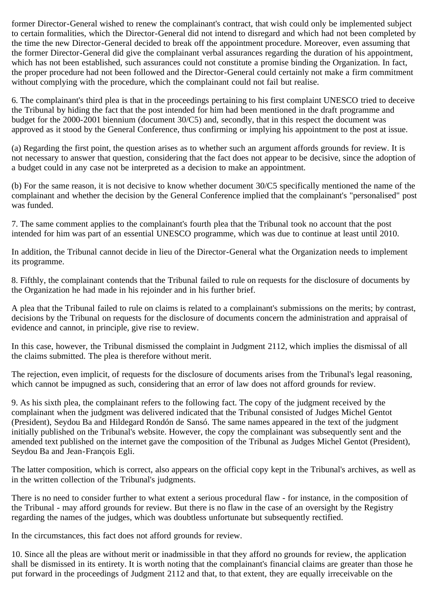former Director-General wished to renew the complainant's contract, that wish could only be implemented subject to certain formalities, which the Director-General did not intend to disregard and which had not been completed by the time the new Director-General decided to break off the appointment procedure. Moreover, even assuming that the former Director-General did give the complainant verbal assurances regarding the duration of his appointment, which has not been established, such assurances could not constitute a promise binding the Organization. In fact, the proper procedure had not been followed and the Director-General could certainly not make a firm commitment without complying with the procedure, which the complainant could not fail but realise.

6. The complainant's third plea is that in the proceedings pertaining to his first complaint UNESCO tried to deceive the Tribunal by hiding the fact that the post intended for him had been mentioned in the draft programme and budget for the 2000-2001 biennium (document 30/C5) and, secondly, that in this respect the document was approved as it stood by the General Conference, thus confirming or implying his appointment to the post at issue.

(a) Regarding the first point, the question arises as to whether such an argument affords grounds for review. It is not necessary to answer that question, considering that the fact does not appear to be decisive, since the adoption of a budget could in any case not be interpreted as a decision to make an appointment.

(b) For the same reason, it is not decisive to know whether document 30/C5 specifically mentioned the name of the complainant and whether the decision by the General Conference implied that the complainant's "personalised" post was funded.

7. The same comment applies to the complainant's fourth plea that the Tribunal took no account that the post intended for him was part of an essential UNESCO programme, which was due to continue at least until 2010.

In addition, the Tribunal cannot decide in lieu of the Director-General what the Organization needs to implement its programme.

8. Fifthly, the complainant contends that the Tribunal failed to rule on requests for the disclosure of documents by the Organization he had made in his rejoinder and in his further brief.

A plea that the Tribunal failed to rule on claims is related to a complainant's submissions on the merits; by contrast, decisions by the Tribunal on requests for the disclosure of documents concern the administration and appraisal of evidence and cannot, in principle, give rise to review.

In this case, however, the Tribunal dismissed the complaint in Judgment 2112, which implies the dismissal of all the claims submitted. The plea is therefore without merit.

The rejection, even implicit, of requests for the disclosure of documents arises from the Tribunal's legal reasoning, which cannot be impugned as such, considering that an error of law does not afford grounds for review.

9. As his sixth plea, the complainant refers to the following fact. The copy of the judgment received by the complainant when the judgment was delivered indicated that the Tribunal consisted of Judges Michel Gentot (President), Seydou Ba and Hildegard Rondón de Sansó. The same names appeared in the text of the judgment initially published on the Tribunal's website. However, the copy the complainant was subsequently sent and the amended text published on the internet gave the composition of the Tribunal as Judges Michel Gentot (President), Seydou Ba and Jean-François Egli.

The latter composition, which is correct, also appears on the official copy kept in the Tribunal's archives, as well as in the written collection of the Tribunal's judgments.

There is no need to consider further to what extent a serious procedural flaw - for instance, in the composition of the Tribunal - may afford grounds for review. But there is no flaw in the case of an oversight by the Registry regarding the names of the judges, which was doubtless unfortunate but subsequently rectified.

In the circumstances, this fact does not afford grounds for review.

10. Since all the pleas are without merit or inadmissible in that they afford no grounds for review, the application shall be dismissed in its entirety. It is worth noting that the complainant's financial claims are greater than those he put forward in the proceedings of Judgment 2112 and that, to that extent, they are equally irreceivable on the